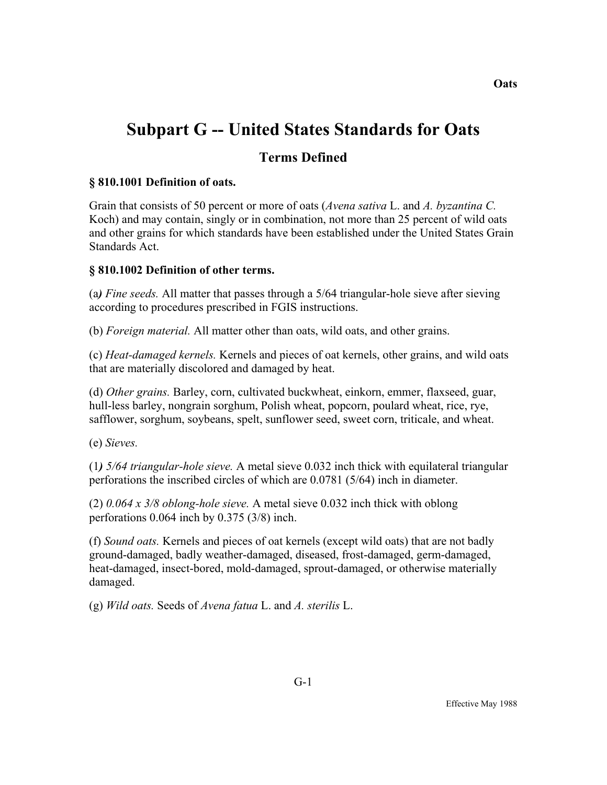# **Subpart G -- United States Standards for Oats**

## **Terms Defined**

## **§ 810.1001 Definition of oats.**

Grain that consists of 50 percent or more of oats (*Avena sativa* L. and *A. byzantina C.* Koch) and may contain, singly or in combination, not more than 25 percent of wild oats and other grains for which standards have been established under the United States Grain Standards Act.

#### **§ 810.1002 Definition of other terms.**

(a*) Fine seeds.* All matter that passes through a 5/64 triangular-hole sieve after sieving according to procedures prescribed in FGIS instructions.

(b) *Foreign material.* All matter other than oats, wild oats, and other grains.

(c) *Heat-damaged kernels.* Kernels and pieces of oat kernels, other grains, and wild oats that are materially discolored and damaged by heat.

(d) *Other grains.* Barley, corn, cultivated buckwheat, einkorn, emmer, flaxseed, guar, hull-less barley, nongrain sorghum, Polish wheat, popcorn, poulard wheat, rice, rye, safflower, sorghum, soybeans, spelt, sunflower seed, sweet corn, triticale, and wheat.

(e) *Sieves.* 

(1*) 5/64 triangular-hole sieve.* A metal sieve 0.032 inch thick with equilateral triangular perforations the inscribed circles of which are 0.0781 (5/64) inch in diameter.

(2) *0.064 x 3/8 oblong-hole sieve.* A metal sieve 0.032 inch thick with oblong perforations 0.064 inch by 0.375 (3/8) inch.

(f) *Sound oats.* Kernels and pieces of oat kernels (except wild oats) that are not badly ground-damaged, badly weather-damaged, diseased, frost-damaged, germ-damaged, heat-damaged, insect-bored, mold-damaged, sprout-damaged, or otherwise materially damaged.

(g) *Wild oats.* Seeds of *Avena fatua* L. and *A. sterilis* L.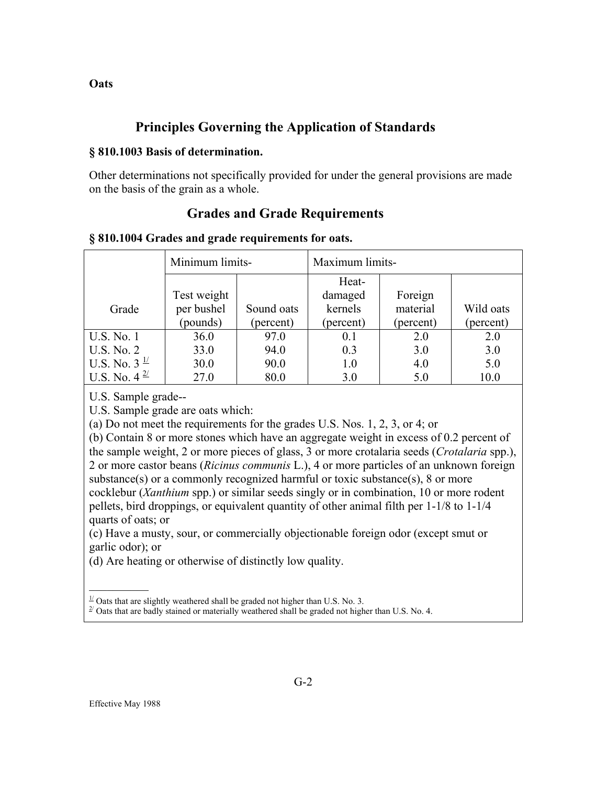# **Principles Governing the Application of Standards**

#### **§ 810.1003 Basis of determination.**

Other determinations not specifically provided for under the general provisions are made on the basis of the grain as a whole.

## **Grades and Grade Requirements**

#### **§ 810.1004 Grades and grade requirements for oats.**

|                             | Minimum limits- |            | Maximum limits- |           |           |
|-----------------------------|-----------------|------------|-----------------|-----------|-----------|
|                             |                 |            | Heat-           |           |           |
|                             | Test weight     |            | damaged         | Foreign   |           |
| Grade                       | per bushel      | Sound oats | kernels         | material  | Wild oats |
|                             | (pounds)        | (percent)  | (percent)       | (percent) | (percent) |
| <b>U.S. No. 1</b>           | 36.0            | 97.0       | 0.1             | 2.0       | 2.0       |
| U.S. No. 2                  | 33.0            | 94.0       | 0.3             | 3.0       | 3.0       |
| U.S. No. $3^{\frac{1}{2}}$  | 30.0            | 90.0       | 1.0             | 4.0       | 5.0       |
| U.S. No. $4^{\frac{2l}{2}}$ | 27.0            | 80.0       | 3.0             | 5.0       | 10.0      |

U.S. Sample grade--

U.S. Sample grade are oats which:

(a) Do not meet the requirements for the grades U.S. Nos. 1, 2, 3, or 4; or

(b) Contain 8 or more stones which have an aggregate weight in excess of 0.2 percent of the sample weight, 2 or more pieces of glass, 3 or more crotalaria seeds (*Crotalaria* spp.), 2 or more castor beans (*Ricinus communis* L.), 4 or more particles of an unknown foreign substance(s) or a commonly recognized harmful or toxic substance(s), 8 or more cocklebur (*Xanthium* spp.) or similar seeds singly or in combination, 10 or more rodent pellets, bird droppings, or equivalent quantity of other animal filth per 1-1/8 to 1-1/4 quarts of oats; or

(c) Have a musty, sour, or commercially objectionable foreign odor (except smut or garlic odor); or

(d) Are heating or otherwise of distinctly low quality.

 $\frac{1}{2}$ 

**Oats** 

 $1/$  Oats that are slightly weathered shall be graded not higher than U.S. No. 3.

 $^{2}$  Oats that are badly stained or materially weathered shall be graded not higher than U.S. No. 4.